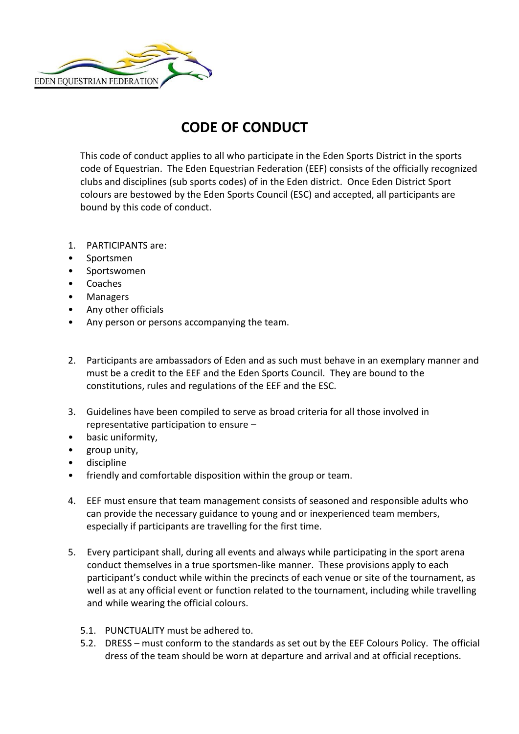

## **CODE OF CONDUCT**

This code of conduct applies to all who participate in the Eden Sports District in the sports code of Equestrian. The Eden Equestrian Federation (EEF) consists of the officially recognized clubs and disciplines (sub sports codes) of in the Eden district. Once Eden District Sport colours are bestowed by the Eden Sports Council (ESC) and accepted, all participants are bound by this code of conduct.

- 1. PARTICIPANTS are:
- Sportsmen
- Sportswomen
- Coaches
- Managers
- Any other officials
- Any person or persons accompanying the team.
- 2. Participants are ambassadors of Eden and as such must behave in an exemplary manner and must be a credit to the EEF and the Eden Sports Council. They are bound to the constitutions, rules and regulations of the EEF and the ESC.
- 3. Guidelines have been compiled to serve as broad criteria for all those involved in representative participation to ensure –
- basic uniformity,
- group unity,
- discipline
- friendly and comfortable disposition within the group or team.
- 4. EEF must ensure that team management consists of seasoned and responsible adults who can provide the necessary guidance to young and or inexperienced team members, especially if participants are travelling for the first time.
- 5. Every participant shall, during all events and always while participating in the sport arena conduct themselves in a true sportsmen-like manner. These provisions apply to each participant's conduct while within the precincts of each venue or site of the tournament, as well as at any official event or function related to the tournament, including while travelling and while wearing the official colours.
	- 5.1. PUNCTUALITY must be adhered to.
	- 5.2. DRESS must conform to the standards as set out by the EEF Colours Policy. The official dress of the team should be worn at departure and arrival and at official receptions.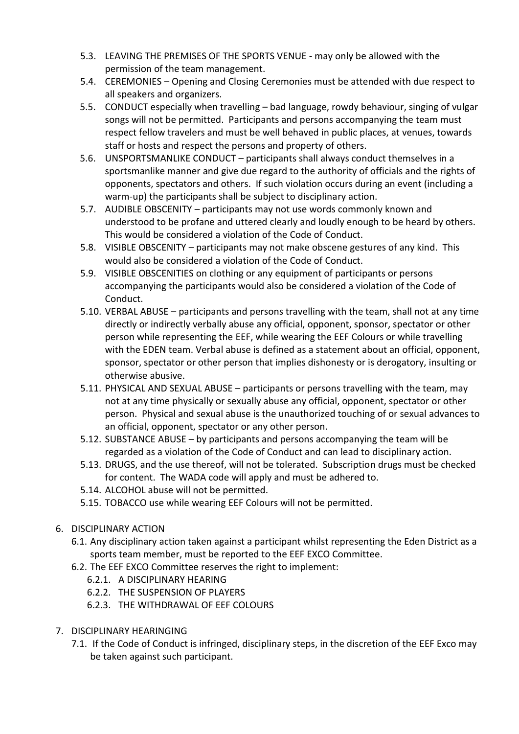- 5.3. LEAVING THE PREMISES OF THE SPORTS VENUE may only be allowed with the permission of the team management.
- 5.4. CEREMONIES Opening and Closing Ceremonies must be attended with due respect to all speakers and organizers.
- 5.5. CONDUCT especially when travelling bad language, rowdy behaviour, singing of vulgar songs will not be permitted. Participants and persons accompanying the team must respect fellow travelers and must be well behaved in public places, at venues, towards staff or hosts and respect the persons and property of others.
- 5.6. UNSPORTSMANLIKE CONDUCT participants shall always conduct themselves in a sportsmanlike manner and give due regard to the authority of officials and the rights of opponents, spectators and others. If such violation occurs during an event (including a warm-up) the participants shall be subject to disciplinary action.
- 5.7. AUDIBLE OBSCENITY participants may not use words commonly known and understood to be profane and uttered clearly and loudly enough to be heard by others. This would be considered a violation of the Code of Conduct.
- 5.8. VISIBLE OBSCENITY participants may not make obscene gestures of any kind. This would also be considered a violation of the Code of Conduct.
- 5.9. VISIBLE OBSCENITIES on clothing or any equipment of participants or persons accompanying the participants would also be considered a violation of the Code of Conduct.
- 5.10. VERBAL ABUSE participants and persons travelling with the team, shall not at any time directly or indirectly verbally abuse any official, opponent, sponsor, spectator or other person while representing the EEF, while wearing the EEF Colours or while travelling with the EDEN team. Verbal abuse is defined as a statement about an official, opponent, sponsor, spectator or other person that implies dishonesty or is derogatory, insulting or otherwise abusive.
- 5.11. PHYSICAL AND SEXUAL ABUSE participants or persons travelling with the team, may not at any time physically or sexually abuse any official, opponent, spectator or other person. Physical and sexual abuse is the unauthorized touching of or sexual advances to an official, opponent, spectator or any other person.
- 5.12. SUBSTANCE ABUSE by participants and persons accompanying the team will be regarded as a violation of the Code of Conduct and can lead to disciplinary action.
- 5.13. DRUGS, and the use thereof, will not be tolerated. Subscription drugs must be checked for content. The WADA code will apply and must be adhered to.
- 5.14. ALCOHOL abuse will not be permitted.
- 5.15. TOBACCO use while wearing EEF Colours will not be permitted.
- 6. DISCIPLINARY ACTION
	- 6.1. Any disciplinary action taken against a participant whilst representing the Eden District as a sports team member, must be reported to the EEF EXCO Committee.
	- 6.2. The EEF EXCO Committee reserves the right to implement:
		- 6.2.1. A DISCIPLINARY HEARING
		- 6.2.2. THE SUSPENSION OF PLAYERS
		- 6.2.3. THE WITHDRAWAL OF EEF COLOURS
- 7. DISCIPLINARY HEARINGING
	- 7.1. If the Code of Conduct is infringed, disciplinary steps, in the discretion of the EEF Exco may be taken against such participant.